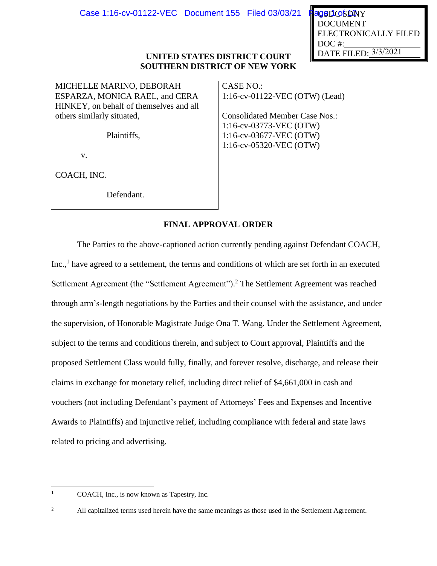DATE FILED: 3/3/2021 USDOSDNY DOCUMENT ELECTRONICALLY FILED DOC #:

## **UNITED STATES DISTRICT COURT SOUTHERN DISTRICT OF NEW YORK**

MICHELLE MARINO, DEBORAH ESPARZA, MONICA RAEL, and CERA HINKEY, on behalf of themselves and all others similarly situated,

Plaintiffs,

v.

COACH, INC.

Defendant.

CASE NO.: 1:16-cv-01122-VEC (OTW) (Lead)

Consolidated Member Case Nos.: 1:16-cv-03773-VEC (OTW) 1:16-cv-03677-VEC (OTW) 1:16-cv-05320-VEC (OTW)

# **FINAL APPROVAL ORDER**

The Parties to the above-captioned action currently pending against Defendant COACH, Inc.,<sup>1</sup> have agreed to a settlement, the terms and conditions of which are set forth in an executed Settlement Agreement (the "Settlement Agreement").<sup>2</sup> The Settlement Agreement was reached through arm's-length negotiations by the Parties and their counsel with the assistance, and under the supervision, of Honorable Magistrate Judge Ona T. Wang. Under the Settlement Agreement, subject to the terms and conditions therein, and subject to Court approval, Plaintiffs and the proposed Settlement Class would fully, finally, and forever resolve, discharge, and release their claims in exchange for monetary relief, including direct relief of \$4,661,000 in cash and vouchers (not including Defendant's payment of Attorneys' Fees and Expenses and Incentive Awards to Plaintiffs) and injunctive relief, including compliance with federal and state laws related to pricing and advertising.

<sup>&</sup>lt;sup>1</sup> COACH, Inc., is now known as Tapestry, Inc.

<sup>&</sup>lt;sup>2</sup> All capitalized terms used herein have the same meanings as those used in the Settlement Agreement.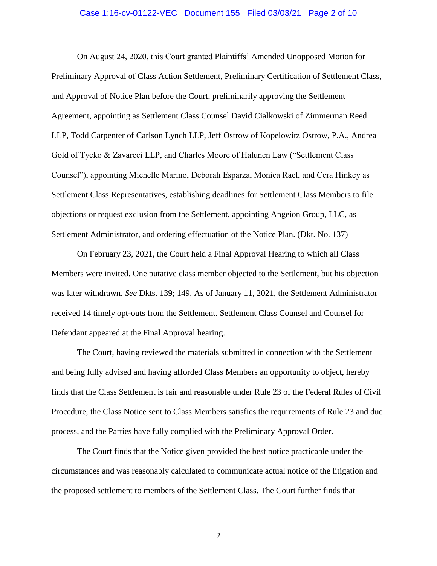#### Case 1:16-cv-01122-VEC Document 155 Filed 03/03/21 Page 2 of 10

On August 24, 2020, this Court granted Plaintiffs' Amended Unopposed Motion for Preliminary Approval of Class Action Settlement, Preliminary Certification of Settlement Class, and Approval of Notice Plan before the Court, preliminarily approving the Settlement Agreement, appointing as Settlement Class Counsel David Cialkowski of Zimmerman Reed LLP, Todd Carpenter of Carlson Lynch LLP, Jeff Ostrow of Kopelowitz Ostrow, P.A., Andrea Gold of Tycko & Zavareei LLP, and Charles Moore of Halunen Law ("Settlement Class Counsel"), appointing Michelle Marino, Deborah Esparza, Monica Rael, and Cera Hinkey as Settlement Class Representatives, establishing deadlines for Settlement Class Members to file objections or request exclusion from the Settlement, appointing Angeion Group, LLC, as Settlement Administrator, and ordering effectuation of the Notice Plan. (Dkt. No. 137)

On February 23, 2021, the Court held a Final Approval Hearing to which all Class Members were invited. One putative class member objected to the Settlement, but his objection was later withdrawn. *See* Dkts. 139; 149. As of January 11, 2021, the Settlement Administrator received 14 timely opt-outs from the Settlement. Settlement Class Counsel and Counsel for Defendant appeared at the Final Approval hearing.

The Court, having reviewed the materials submitted in connection with the Settlement and being fully advised and having afforded Class Members an opportunity to object, hereby finds that the Class Settlement is fair and reasonable under Rule 23 of the Federal Rules of Civil Procedure, the Class Notice sent to Class Members satisfies the requirements of Rule 23 and due process, and the Parties have fully complied with the Preliminary Approval Order.

The Court finds that the Notice given provided the best notice practicable under the circumstances and was reasonably calculated to communicate actual notice of the litigation and the proposed settlement to members of the Settlement Class. The Court further finds that

2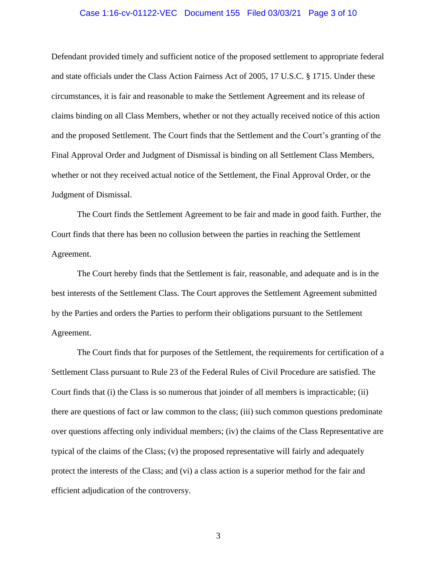## Case 1:16-cv-01122-VEC Document 155 Filed 03/03/21 Page 3 of 10

Defendant provided timely and sufficient notice of the proposed settlement to appropriate federal and state officials under the Class Action Fairness Act of 2005, 17 U.S.C. § 1715. Under these circumstances, it is fair and reasonable to make the Settlement Agreement and its release of claims binding on all Class Members, whether or not they actually received notice of this action and the proposed Settlement. The Court finds that the Settlement and the Court's granting of the Final Approval Order and Judgment of Dismissal is binding on all Settlement Class Members, whether or not they received actual notice of the Settlement, the Final Approval Order, or the Judgment of Dismissal.

The Court finds the Settlement Agreement to be fair and made in good faith. Further, the Court finds that there has been no collusion between the parties in reaching the Settlement Agreement.

The Court hereby finds that the Settlement is fair, reasonable, and adequate and is in the best interests of the Settlement Class. The Court approves the Settlement Agreement submitted by the Parties and orders the Parties to perform their obligations pursuant to the Settlement Agreement.

The Court finds that for purposes of the Settlement, the requirements for certification of a Settlement Class pursuant to Rule 23 of the Federal Rules of Civil Procedure are satisfied. The Court finds that (i) the Class is so numerous that joinder of all members is impracticable; (ii) there are questions of fact or law common to the class; (iii) such common questions predominate over questions affecting only individual members; (iv) the claims of the Class Representative are typical of the claims of the Class; (v) the proposed representative will fairly and adequately protect the interests of the Class; and (vi) a class action is a superior method for the fair and efficient adjudication of the controversy.

3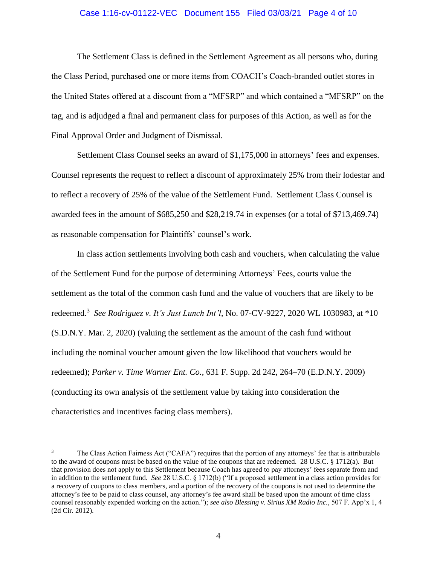## Case 1:16-cv-01122-VEC Document 155 Filed 03/03/21 Page 4 of 10

The Settlement Class is defined in the Settlement Agreement as all persons who, during the Class Period, purchased one or more items from COACH's Coach-branded outlet stores in the United States offered at a discount from a "MFSRP" and which contained a "MFSRP" on the tag, and is adjudged a final and permanent class for purposes of this Action, as well as for the Final Approval Order and Judgment of Dismissal.

Settlement Class Counsel seeks an award of \$1,175,000 in attorneys' fees and expenses. Counsel represents the request to reflect a discount of approximately 25% from their lodestar and to reflect a recovery of 25% of the value of the Settlement Fund. Settlement Class Counsel is awarded fees in the amount of \$685,250 and \$28,219.74 in expenses (or a total of \$713,469.74) as reasonable compensation for Plaintiffs' counsel's work.

In class action settlements involving both cash and vouchers, when calculating the value of the Settlement Fund for the purpose of determining Attorneys' Fees, courts value the settlement as the total of the common cash fund and the value of vouchers that are likely to be redeemed.<sup>3</sup> *See Rodriguez v. It's Just Lunch Int'l*, No. 07-CV-9227, 2020 WL 1030983, at \*10 (S.D.N.Y. Mar. 2, 2020) (valuing the settlement as the amount of the cash fund without including the nominal voucher amount given the low likelihood that vouchers would be redeemed); *Parker v. Time Warner Ent. Co.*, 631 F. Supp. 2d 242, 264–70 (E.D.N.Y. 2009) (conducting its own analysis of the settlement value by taking into consideration the characteristics and incentives facing class members).

<sup>&</sup>lt;sup>3</sup> The Class Action Fairness Act ("CAFA") requires that the portion of any attorneys' fee that is attributable to the award of coupons must be based on the value of the coupons that are redeemed. 28 U.S.C. § 1712(a). But that provision does not apply to this Settlement because Coach has agreed to pay attorneys' fees separate from and in addition to the settlement fund. *See* 28 U.S.C. § 1712(b) ("If a proposed settlement in a class action provides for a recovery of coupons to class members, and a portion of the recovery of the coupons is not used to determine the attorney's fee to be paid to class counsel, any attorney's fee award shall be based upon the amount of time class counsel reasonably expended working on the action."); *see also Blessing v. Sirius XM Radio Inc.*, 507 F. App'x 1, 4 (2d Cir. 2012).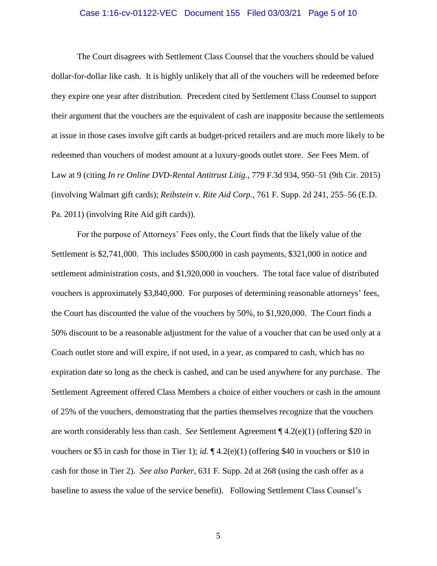## Case 1:16-cv-01122-VEC Document 155 Filed 03/03/21 Page 5 of 10

The Court disagrees with Settlement Class Counsel that the vouchers should be valued dollar-for-dollar like cash. It is highly unlikely that all of the vouchers will be redeemed before they expire one year after distribution. Precedent cited by Settlement Class Counsel to support their argument that the vouchers are the equivalent of cash are inapposite because the settlements at issue in those cases involve gift cards at budget-priced retailers and are much more likely to be redeemed than vouchers of modest amount at a luxury-goods outlet store. *See* Fees Mem. of Law at 9 (citing *In re Online DVD-Rental Antitrust Litig.*, 779 F.3d 934, 950–51 (9th Cir. 2015) (involving Walmart gift cards); *Reibstein v. Rite Aid Corp.*, 761 F. Supp. 2d 241, 255–56 (E.D. Pa. 2011) (involving Rite Aid gift cards)).

For the purpose of Attorneys' Fees only, the Court finds that the likely value of the Settlement is \$2,741,000. This includes \$500,000 in cash payments, \$321,000 in notice and settlement administration costs, and \$1,920,000 in vouchers. The total face value of distributed vouchers is approximately \$3,840,000. For purposes of determining reasonable attorneys' fees, the Court has discounted the value of the vouchers by 50%, to \$1,920,000. The Court finds a 50% discount to be a reasonable adjustment for the value of a voucher that can be used only at a Coach outlet store and will expire, if not used, in a year, as compared to cash, which has no expiration date so long as the check is cashed, and can be used anywhere for any purchase. The Settlement Agreement offered Class Members a choice of either vouchers or cash in the amount of 25% of the vouchers, demonstrating that the parties themselves recognize that the vouchers are worth considerably less than cash. *See* Settlement Agreement ¶ 4.2(e)(1) (offering \$20 in vouchers or \$5 in cash for those in Tier 1); *id.* ¶ 4.2(e)(1) (offering \$40 in vouchers or \$10 in cash for those in Tier 2). *See also Parker*, 631 F. Supp. 2d at 268 (using the cash offer as a baseline to assess the value of the service benefit). Following Settlement Class Counsel's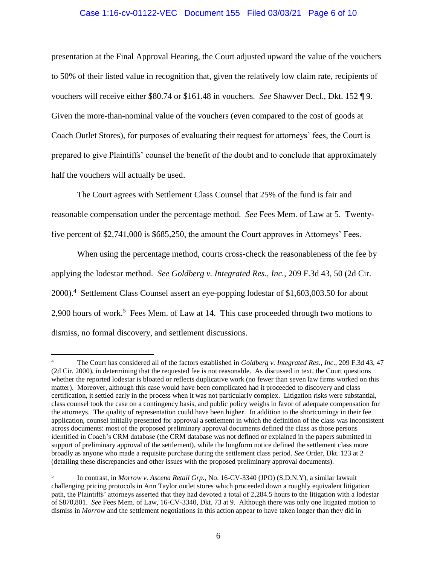## Case 1:16-cv-01122-VEC Document 155 Filed 03/03/21 Page 6 of 10

presentation at the Final Approval Hearing, the Court adjusted upward the value of the vouchers to 50% of their listed value in recognition that, given the relatively low claim rate, recipients of vouchers will receive either \$80.74 or \$161.48 in vouchers. *See* Shawver Decl., Dkt. 152 ¶ 9. Given the more-than-nominal value of the vouchers (even compared to the cost of goods at Coach Outlet Stores), for purposes of evaluating their request for attorneys' fees, the Court is prepared to give Plaintiffs' counsel the benefit of the doubt and to conclude that approximately half the vouchers will actually be used.

The Court agrees with Settlement Class Counsel that 25% of the fund is fair and reasonable compensation under the percentage method. *See* Fees Mem. of Law at 5. Twentyfive percent of \$2,741,000 is \$685,250, the amount the Court approves in Attorneys' Fees.

When using the percentage method, courts cross-check the reasonableness of the fee by applying the lodestar method. *See Goldberg v. Integrated Res., Inc.*, 209 F.3d 43, 50 (2d Cir. 2000).<sup>4</sup> Settlement Class Counsel assert an eye-popping lodestar of \$1,603,003.50 for about 2,900 hours of work.<sup>5</sup> Fees Mem. of Law at 14. This case proceeded through two motions to dismiss, no formal discovery, and settlement discussions.

<sup>4</sup> The Court has considered all of the factors established in *Goldberg v. Integrated Res., Inc*., 209 F.3d 43, 47 (2d Cir. 2000), in determining that the requested fee is not reasonable. As discussed in text, the Court questions whether the reported lodestar is bloated or reflects duplicative work (no fewer than seven law firms worked on this matter). Moreover, although this case would have been complicated had it proceeded to discovery and class certification, it settled early in the process when it was not particularly complex. Litigation risks were substantial, class counsel took the case on a contingency basis, and public policy weighs in favor of adequate compensation for the attorneys. The quality of representation could have been higher. In addition to the shortcomings in their fee application, counsel initially presented for approval a settlement in which the definition of the class was inconsistent across documents: most of the proposed preliminary approval documents defined the class as those persons identified in Coach's CRM database (the CRM database was not defined or explained in the papers submitted in support of preliminary approval of the settlement), while the longform notice defined the settlement class more broadly as anyone who made a requisite purchase during the settlement class period. *See* Order, Dkt. 123 at 2 (detailing these discrepancies and other issues with the proposed preliminary approval documents).

<sup>5</sup> In contrast, in *Morrow v. Ascena Retail Grp.*, No. 16-CV-3340 (JPO) (S.D.N.Y), a similar lawsuit challenging pricing protocols in Ann Taylor outlet stores which proceeded down a roughly equivalent litigation path, the Plaintiffs' attorneys asserted that they had devoted a total of 2,284.5 hours to the litigation with a lodestar of \$870,801. *See* Fees Mem. of Law, 16-CV-3340, Dkt. 73 at 9. Although there was only one litigated motion to dismiss in *Morrow* and the settlement negotiations in this action appear to have taken longer than they did in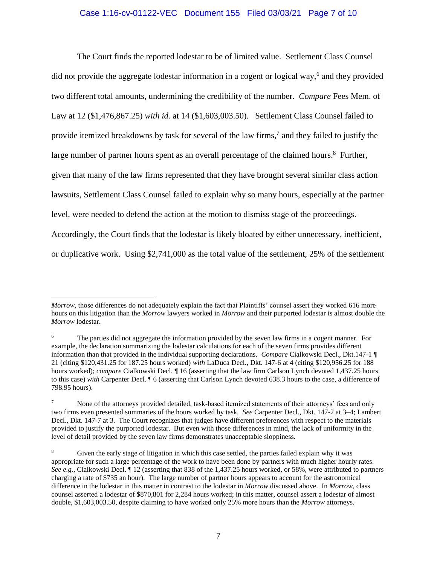## Case 1:16-cv-01122-VEC Document 155 Filed 03/03/21 Page 7 of 10

The Court finds the reported lodestar to be of limited value. Settlement Class Counsel did not provide the aggregate lodestar information in a cogent or logical way,<sup>6</sup> and they provided two different total amounts, undermining the credibility of the number. *Compare* Fees Mem. of Law at 12 (\$1,476,867.25) *with id.* at 14 (\$1,603,003.50). Settlement Class Counsel failed to provide itemized breakdowns by task for several of the law firms,<sup>7</sup> and they failed to justify the large number of partner hours spent as an overall percentage of the claimed hours. $8$  Further, given that many of the law firms represented that they have brought several similar class action lawsuits, Settlement Class Counsel failed to explain why so many hours, especially at the partner level, were needed to defend the action at the motion to dismiss stage of the proceedings. Accordingly, the Court finds that the lodestar is likely bloated by either unnecessary, inefficient, or duplicative work. Using \$2,741,000 as the total value of the settlement, 25% of the settlement

*Morrow*, those differences do not adequately explain the fact that Plaintiffs' counsel assert they worked 616 more hours on this litigation than the *Morrow* lawyers worked in *Morrow* and their purported lodestar is almost double the *Morrow* lodestar.

<sup>&</sup>lt;sup>6</sup> The parties did not aggregate the information provided by the seven law firms in a cogent manner. For example, the declaration summarizing the lodestar calculations for each of the seven firms provides different information than that provided in the individual supporting declarations. *Compare* Cialkowski Decl., Dkt.147-1 ¶ 21 (citing \$120,431.25 for 187.25 hours worked) *with* LaDuca Decl., Dkt. 147-6 at 4 (citing \$120,956.25 for 188 hours worked); *compare* Cialkowski Decl. ¶ 16 (asserting that the law firm Carlson Lynch devoted 1,437.25 hours to this case) *with* Carpenter Decl. ¶ 6 (asserting that Carlson Lynch devoted 638.3 hours to the case, a difference of 798.95 hours).

<sup>&</sup>lt;sup>7</sup> None of the attorneys provided detailed, task-based itemized statements of their attorneys' fees and only two firms even presented summaries of the hours worked by task. *See* Carpenter Decl., Dkt. 147-2 at 3–4; Lambert Decl., Dkt. 147-7 at 3. The Court recognizes that judges have different preferences with respect to the materials provided to justify the purported lodestar. But even with those differences in mind, the lack of uniformity in the level of detail provided by the seven law firms demonstrates unacceptable sloppiness.

<sup>&</sup>lt;sup>8</sup> Given the early stage of litigation in which this case settled, the parties failed explain why it was appropriate for such a large percentage of the work to have been done by partners with much higher hourly rates. *See e.g.*, Cialkowski Decl. ¶ 12 (asserting that 838 of the 1,437.25 hours worked, or 58%, were attributed to partners charging a rate of \$735 an hour). The large number of partner hours appears to account for the astronomical difference in the lodestar in this matter in contrast to the lodestar in *Morrow* discussed above. In *Morrow*, class counsel asserted a lodestar of \$870,801 for 2,284 hours worked; in this matter, counsel assert a lodestar of almost double, \$1,603,003.50, despite claiming to have worked only 25% more hours than the *Morrow* attorneys.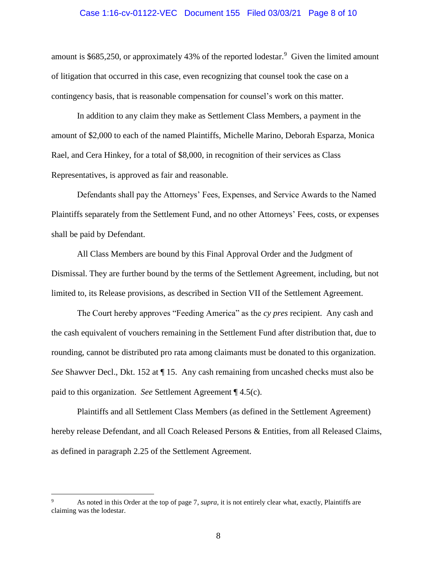#### Case 1:16-cv-01122-VEC Document 155 Filed 03/03/21 Page 8 of 10

amount is \$685,250, or approximately 43% of the reported lodestar.<sup>9</sup> Given the limited amount of litigation that occurred in this case, even recognizing that counsel took the case on a contingency basis, that is reasonable compensation for counsel's work on this matter.

In addition to any claim they make as Settlement Class Members, a payment in the amount of \$2,000 to each of the named Plaintiffs, Michelle Marino, Deborah Esparza, Monica Rael, and Cera Hinkey, for a total of \$8,000, in recognition of their services as Class Representatives, is approved as fair and reasonable.

Defendants shall pay the Attorneys' Fees, Expenses, and Service Awards to the Named Plaintiffs separately from the Settlement Fund, and no other Attorneys' Fees, costs, or expenses shall be paid by Defendant.

All Class Members are bound by this Final Approval Order and the Judgment of Dismissal. They are further bound by the terms of the Settlement Agreement, including, but not limited to, its Release provisions, as described in Section VII of the Settlement Agreement.

The Court hereby approves "Feeding America" as the *cy pres* recipient. Any cash and the cash equivalent of vouchers remaining in the Settlement Fund after distribution that, due to rounding, cannot be distributed pro rata among claimants must be donated to this organization. *See* Shawver Decl., Dkt. 152 at ¶ 15. Any cash remaining from uncashed checks must also be paid to this organization. *See* Settlement Agreement ¶ 4.5(c).

Plaintiffs and all Settlement Class Members (as defined in the Settlement Agreement) hereby release Defendant, and all Coach Released Persons & Entities, from all Released Claims, as defined in paragraph 2.25 of the Settlement Agreement.

<sup>9</sup> As noted in this Order at the top of page 7, *supra*, it is not entirely clear what, exactly, Plaintiffs are claiming was the lodestar.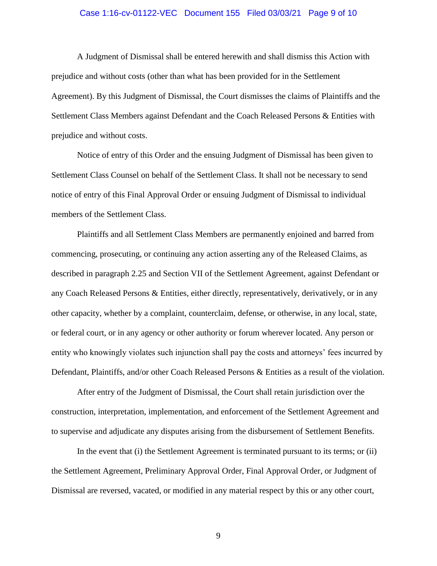## Case 1:16-cv-01122-VEC Document 155 Filed 03/03/21 Page 9 of 10

A Judgment of Dismissal shall be entered herewith and shall dismiss this Action with prejudice and without costs (other than what has been provided for in the Settlement Agreement). By this Judgment of Dismissal, the Court dismisses the claims of Plaintiffs and the Settlement Class Members against Defendant and the Coach Released Persons & Entities with prejudice and without costs.

Notice of entry of this Order and the ensuing Judgment of Dismissal has been given to Settlement Class Counsel on behalf of the Settlement Class. It shall not be necessary to send notice of entry of this Final Approval Order or ensuing Judgment of Dismissal to individual members of the Settlement Class.

Plaintiffs and all Settlement Class Members are permanently enjoined and barred from commencing, prosecuting, or continuing any action asserting any of the Released Claims, as described in paragraph 2.25 and Section VII of the Settlement Agreement, against Defendant or any Coach Released Persons & Entities, either directly, representatively, derivatively, or in any other capacity, whether by a complaint, counterclaim, defense, or otherwise, in any local, state, or federal court, or in any agency or other authority or forum wherever located. Any person or entity who knowingly violates such injunction shall pay the costs and attorneys' fees incurred by Defendant, Plaintiffs, and/or other Coach Released Persons & Entities as a result of the violation.

After entry of the Judgment of Dismissal, the Court shall retain jurisdiction over the construction, interpretation, implementation, and enforcement of the Settlement Agreement and to supervise and adjudicate any disputes arising from the disbursement of Settlement Benefits.

In the event that (i) the Settlement Agreement is terminated pursuant to its terms; or (ii) the Settlement Agreement, Preliminary Approval Order, Final Approval Order, or Judgment of Dismissal are reversed, vacated, or modified in any material respect by this or any other court,

9